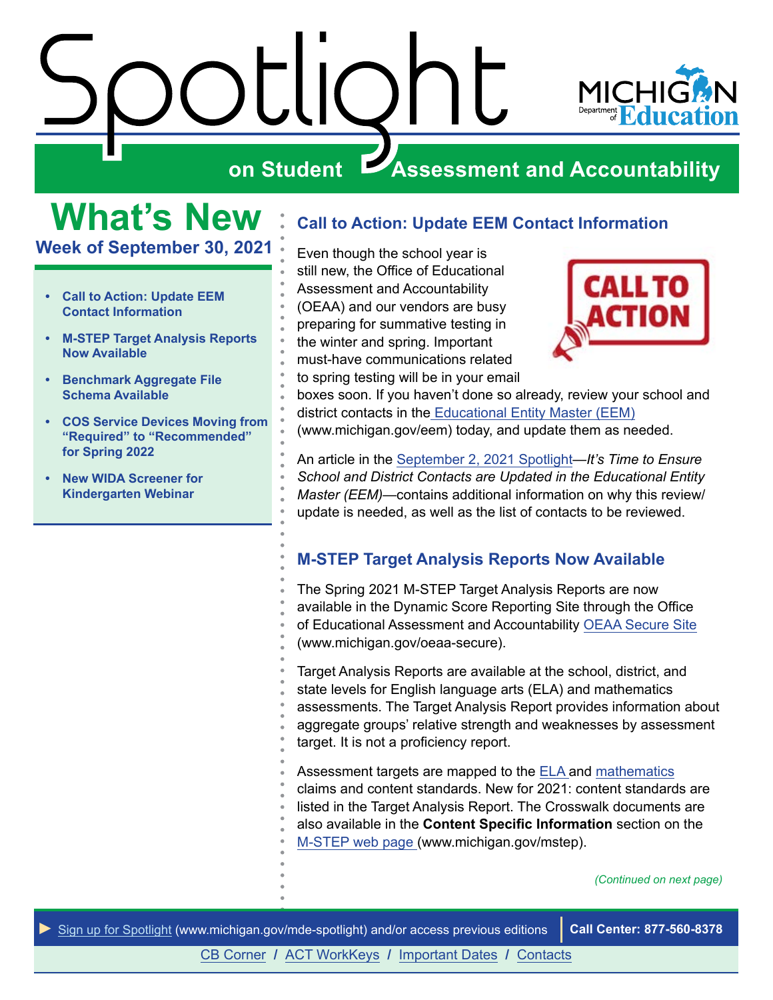<span id="page-0-0"></span>



# **What's New**

**Week of September 30, 2021**

- **• Call to Action: Update EEM Contact Information**
- **• M-STEP Target Analysis Reports Now Available**
- **• [Benchmark Aggregate File](#page-1-0)  [Schema Available](#page-1-0)**
- **• [COS Service Devices Moving from](#page-1-0) ["Required" to "Recommended"](#page-1-0)  [for Spring 2022](#page-1-0)**
- **• [New WIDA Screener for](#page-2-0)  [Kindergarten Webinar](#page-2-0)**

# **Call to Action: Update EEM Contact Information**

Even though the school year is still new, the Office of Educational Assessment and Accountability (OEAA) and our vendors are busy preparing for summative testing in the winter and spring. Important must-have communications related to spring testing will be in your email



boxes soon. If you haven't done so already, review your school and district contacts in th[e Educational Entity Master \(EEM\)](http://www.michigan.gov/eem) (www.michigan.gov/eem) today, and update them as needed.

An article in the [September 2, 2021 Spotlight—](https://www.michigan.gov/documents/mde/Spotlight_9-02-21_734500_7.pdf)*It's Time to Ensure School and District Contacts are Updated in the Educational Entity Master (EEM)*—contains additional information on why this review/ update is needed, as well as the list of contacts to be reviewed.

## **M-STEP Target Analysis Reports Now Available**

The Spring 2021 M-STEP Target Analysis Reports are now available in the Dynamic Score Reporting Site through the Office of Educational Assessment and Accountability [OEAA Secure Site](http://www.michigan.gov/oeaa-secure) (www.michigan.gov/oeaa-secure).

Target Analysis Reports are available at the school, district, and state levels for English language arts (ELA) and mathematics assessments. The Target Analysis Report provides information about aggregate groups' relative strength and weaknesses by assessment target. It is not a proficiency report.

Assessment targets are mapped to the [ELA a](https://www.michigan.gov/mde/0,4615,7-140-22709_70117-364986--,00.html)nd [mathematics](https://www.michigan.gov/mde/0,4615,7-140-22709_70117-364403--,00.html) claims and content standards. New for 2021: content standards are listed in the Target Analysis Report. The Crosswalk documents are also available in the **Content Specific Information** section on the [M-STEP web page \(](http://www.michigan.gov/mstep)www.michigan.gov/mstep).

*(Continued on next page)*



[CB Corner](#page-3-0) **/** [ACT WorkKeys](#page-4-0) **/** [Important Dates](#page-6-0) **/** [Contacts](#page-7-0)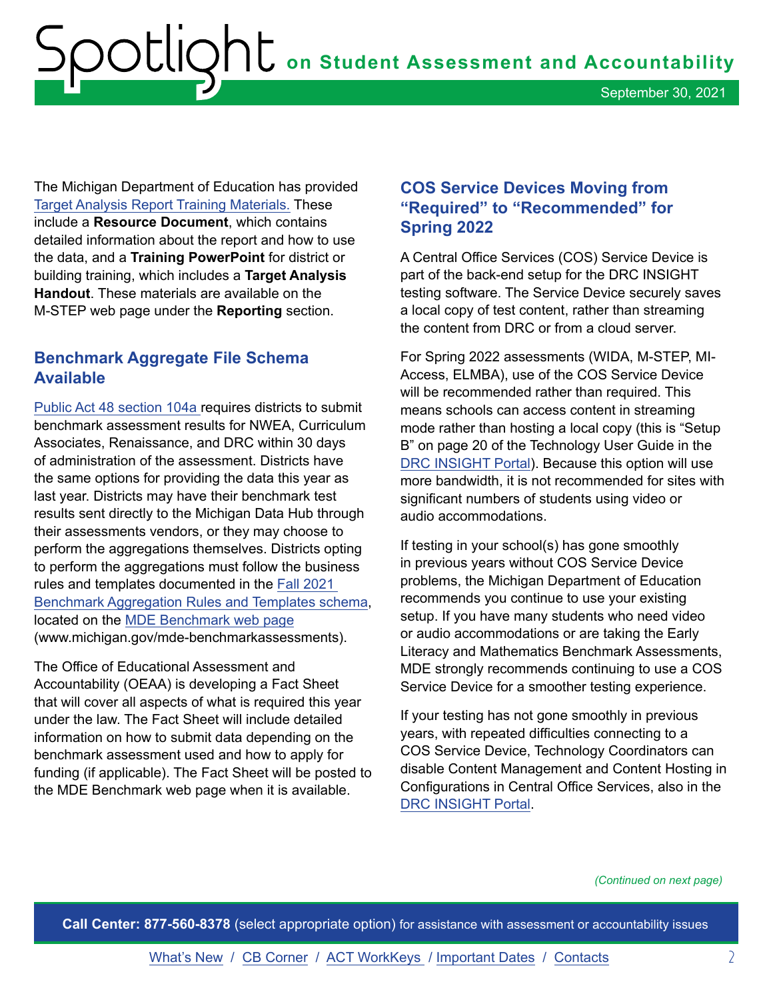<span id="page-1-0"></span>The Michigan Department of Education has provided [Target Analysis Report Training Materials.](https://www.michigan.gov/mde/0,4615,7-140-22709_70117-396811--,00.html) These include a **Resource Document**, which contains detailed information about the report and how to use the data, and a **Training PowerPoint** for district or building training, which includes a **Target Analysis Handout**. These materials are available on the M-STEP web page under the **Reporting** section.

#### **Benchmark Aggregate File Schema Available**

[Public Act 48 section 104a](http://legislature.mi.gov/doc.aspx?mcl-388-1704a) requires districts to submit benchmark assessment results for NWEA, Curriculum Associates, Renaissance, and DRC within 30 days of administration of the assessment. Districts have the same options for providing the data this year as last year. Districts may have their benchmark test results sent directly to the Michigan Data Hub through their assessments vendors, or they may choose to perform the aggregations themselves. Districts opting to perform the aggregations must follow the business rules and templates documented in the [Fall 2021](https://www.michigan.gov/documents/mde/Benchmark_Aggregation_Rules_and_Templates_Fall21_736672_7.xlsx)  [Benchmark Aggregation Rules and Templates schema,](https://www.michigan.gov/documents/mde/Benchmark_Aggregation_Rules_and_Templates_Fall21_736672_7.xlsx) located on the [MDE Benchmark web page](http://www.michigan.gov/mde-benchmarkassessments) (www.michigan.gov/mde-benchmarkassessments).

The Office of Educational Assessment and Accountability (OEAA) is developing a Fact Sheet that will cover all aspects of what is required this year under the law. The Fact Sheet will include detailed information on how to submit data depending on the benchmark assessment used and how to apply for funding (if applicable). The Fact Sheet will be posted to the MDE Benchmark web page when it is available.

#### **COS Service Devices Moving from "Required" to "Recommended" for Spring 2022**

A Central Office Services (COS) Service Device is part of the back-end setup for the DRC INSIGHT testing software. The Service Device securely saves a local copy of test content, rather than streaming the content from DRC or from a cloud server.

For Spring 2022 assessments (WIDA, M-STEP, MI-Access, ELMBA), use of the COS Service Device will be recommended rather than required. This means schools can access content in streaming mode rather than hosting a local copy (this is "Setup B" on page 20 of the Technology User Guide in the [DRC INSIGHT Portal](https://mi.drcedirect.com/)). Because this option will use more bandwidth, it is not recommended for sites with significant numbers of students using video or audio accommodations.

If testing in your school(s) has gone smoothly in previous years without COS Service Device problems, the Michigan Department of Education recommends you continue to use your existing setup. If you have many students who need video or audio accommodations or are taking the Early Literacy and Mathematics Benchmark Assessments, MDE strongly recommends continuing to use a COS Service Device for a smoother testing experience.

If your testing has not gone smoothly in previous years, with repeated difficulties connecting to a COS Service Device, Technology Coordinators can disable Content Management and Content Hosting in Configurations in Central Office Services, also in the [DRC INSIGHT Portal](https://mi.drcedirect.com/).

*(Continued on next page)*

**Call Center: 877-560-8378** (select appropriate option) for assistance with assessment or accountability issues

[What's New](#page-0-0) / [CB Corner](#page-3-0) / [ACT WorkKeys](#page-4-0) / [Important Dates](#page-6-0) / [Contacts](#page-7-0) 2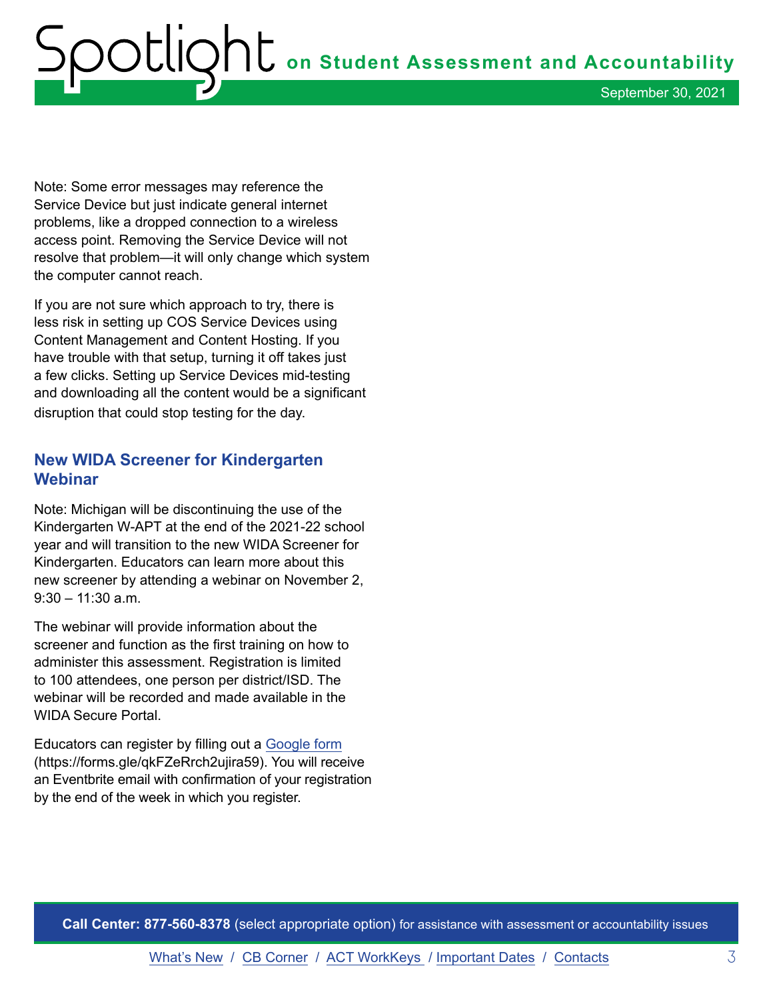<span id="page-2-0"></span>**on Student Assessment and Accountability** September 30, 2021

Note: Some error messages may reference the Service Device but just indicate general internet problems, like a dropped connection to a wireless access point. Removing the Service Device will not resolve that problem—it will only change which system the computer cannot reach.

If you are not sure which approach to try, there is less risk in setting up COS Service Devices using Content Management and Content Hosting. If you have trouble with that setup, turning it off takes just a few clicks. Setting up Service Devices mid-testing and downloading all the content would be a significant disruption that could stop testing for the day.

#### **New WIDA Screener for Kindergarten Webinar**

Note: Michigan will be discontinuing the use of the Kindergarten W-APT at the end of the 2021-22 school year and will transition to the new WIDA Screener for Kindergarten. Educators can learn more about this new screener by attending a webinar on November 2, 9:30 – 11:30 a.m.

The webinar will provide information about the screener and function as the first training on how to administer this assessment. Registration is limited to 100 attendees, one person per district/ISD. The webinar will be recorded and made available in the WIDA Secure Portal.

Educators can register by filling out a [Google form](https://forms.gle/qkFZeRrch2ujira59) (https://forms.gle/qkFZeRrch2ujira59). You will receive an Eventbrite email with confirmation of your registration by the end of the week in which you register.

**Call Center: 877-560-8378** (select appropriate option) for assistance with assessment or accountability issues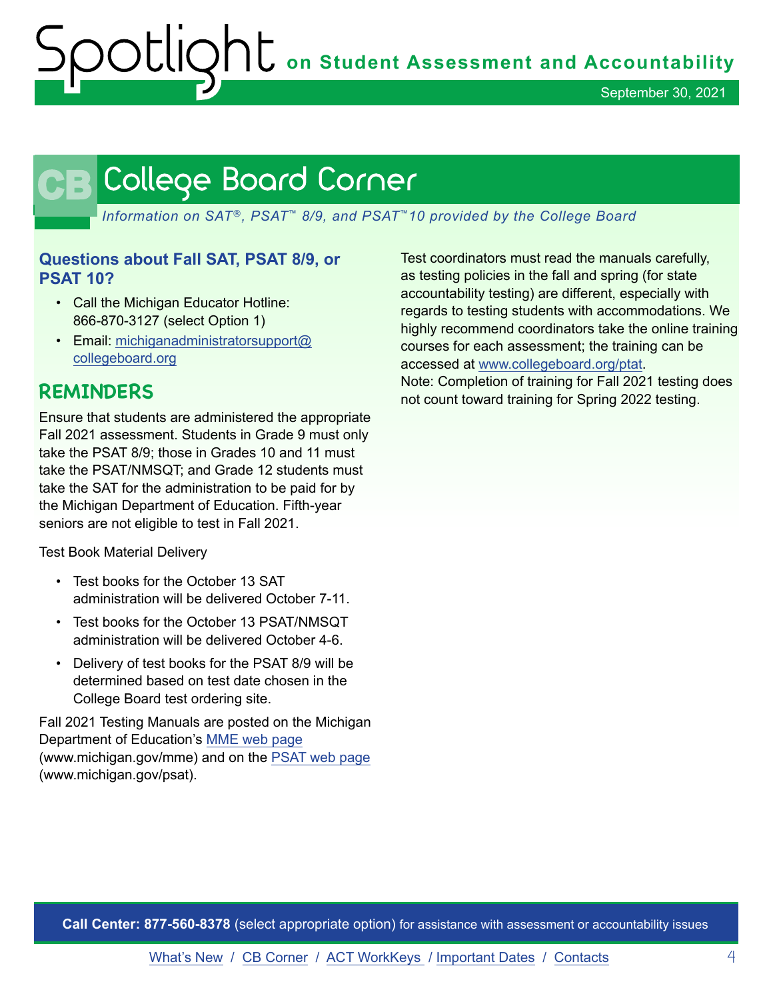September 30, 2021

# <span id="page-3-0"></span>CB

*Information on SAT*®*, PSAT*™ *8/9, and PSAT*™*10 provided by the College Board*

#### **Questions about Fall SAT, PSAT 8/9, or PSAT 10?**

- Call the Michigan Educator Hotline: 866-870-3127 (select Option 1)
- Email: [michiganadministratorsupport@](mailto:michiganadministratorsupport%40collegeboard.org?subject=) [collegeboard.org](mailto:michiganadministratorsupport%40collegeboard.org?subject=)

# **REMINDERS**

Ensure that students are administered the appropriate Fall 2021 assessment. Students in Grade 9 must only take the PSAT 8/9; those in Grades 10 and 11 must take the PSAT/NMSQT; and Grade 12 students must take the SAT for the administration to be paid for by the Michigan Department of Education. Fifth-year seniors are not eligible to test in Fall 2021.

Test Book Material Delivery

- Test books for the October 13 SAT administration will be delivered October 7-11.
- Test books for the October 13 PSAT/NMSQT administration will be delivered October 4-6.
- Delivery of test books for the PSAT 8/9 will be determined based on test date chosen in the College Board test ordering site.

Fall 2021 Testing Manuals are posted on the Michigan Department of Education's [MME web page](http://www.michigan.gov/mme) (www.michigan.gov/mme) and on the [PSAT web page](http://www.michigan.gov/psat) (www.michigan.gov/psat).

Test coordinators must read the manuals carefully, as testing policies in the fall and spring (for state accountability testing) are different, especially with regards to testing students with accommodations. We highly recommend coordinators take the online training courses for each assessment; the training can be accessed at [www.collegeboard.org/ptat.](http://www.collegeboard.org/ptat) Note: Completion of training for Fall 2021 testing does

not count toward training for Spring 2022 testing.

**Call Center: 877-560-8378** (select appropriate option) for assistance with assessment or accountability issues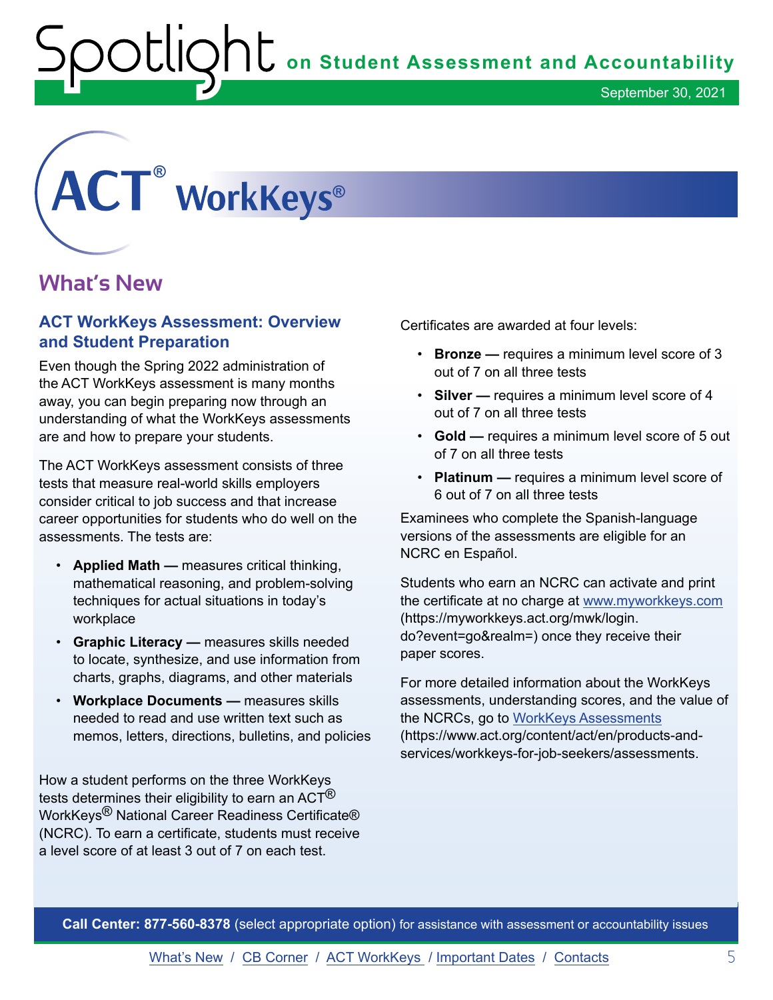# <span id="page-4-0"></span>**® ®**

# **What's New**

#### **ACT WorkKeys Assessment: Overview and Student Preparation**

Even though the Spring 2022 administration of the ACT WorkKeys assessment is many months away, you can begin preparing now through an understanding of what the WorkKeys assessments are and how to prepare your students.

The ACT WorkKeys assessment consists of three tests that measure real-world skills employers consider critical to job success and that increase career opportunities for students who do well on the assessments. The tests are:

- **Applied Math** measures critical thinking, mathematical reasoning, and problem-solving techniques for actual situations in today's workplace
- **Graphic Literacy** measures skills needed to locate, synthesize, and use information from charts, graphs, diagrams, and other materials
- **Workplace Documents** measures skills needed to read and use written text such as memos, letters, directions, bulletins, and policies

How a student performs on the three WorkKeys tests determines their eligibility to earn an ACT $^{\circledR}$ WorkKeys<sup>®</sup> National Career Readiness Certificate® (NCRC). To earn a certificate, students must receive a level score of at least 3 out of 7 on each test.

Certificates are awarded at four levels:

- **Bronze** requires a minimum level score of 3 out of 7 on all three tests
- **Silver** requires a minimum level score of 4 out of 7 on all three tests
- **Gold** requires a minimum level score of 5 out of 7 on all three tests
- **Platinum** requires a minimum level score of 6 out of 7 on all three tests

Examinees who complete the Spanish-language versions of the assessments are eligible for an NCRC en Español.

Students who earn an NCRC can activate and print the certificate at no charge at [www.myworkkeys.com](https://myworkkeys.act.org/mwk/login.do?event=go&realm=) (https://myworkkeys.act.org/mwk/login. do?event=go&realm=) once they receive their paper scores.

For more detailed information about the WorkKeys assessments, understanding scores, and the value of the NCRCs, go to [WorkKeys Assessments](https://www.act.org/content/act/en/products-and-services/workkeys-for-job-seekers/assessments.html) (https://www.act.org/content/act/en/products-andservices/workkeys-for-job-seekers/assessments.

**Call Center: 877-560-8378** (select appropriate option) for assistance with assessment or accountability issues

[What's New](#page-0-0) / [CB Corner](#page-3-0) / ACT WorkKeys / [Important Dates](#page-6-0) / [Contacts](#page-7-0) 5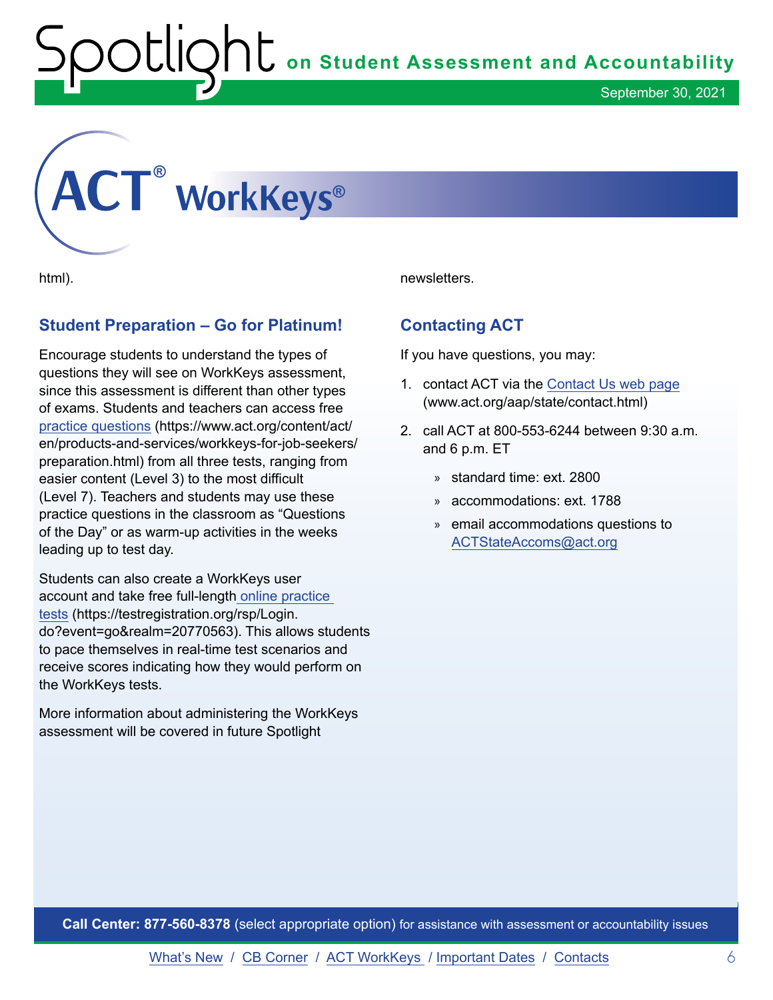# **on Student Assessment and Accountability**<br> **Contamber 30, 2021**

September 30, 2021

# **® ®**

html).

## **Student Preparation – Go for Platinum!**

Encourage students to understand the types of questions they will see on WorkKeys assessment, since this assessment is different than other types of exams. Students and teachers can access free [practice questions](https://www.act.org/content/act/en/products-and-services/workkeys-for-job-seekers/preparation.html) (https://www.act.org/content/act/ en/products-and-services/workkeys-for-job-seekers/ preparation.html) from all three tests, ranging from easier content (Level 3) to the most difficult (Level 7). Teachers and students may use these practice questions in the classroom as "Questions of the Day" or as warm-up activities in the weeks leading up to test day.

Students can also create a WorkKeys user account and take free full-length [online practice](mailto:https://testregistration.org/rsp/Login.do%3Fevent%3Dgo%26realm%3D20770563?subject=)  [tests](mailto:https://testregistration.org/rsp/Login.do%3Fevent%3Dgo%26realm%3D20770563?subject=) (https://testregistration.org/rsp/Login. do?event=go&realm=20770563). This allows students to pace themselves in real-time test scenarios and receive scores indicating how they would perform on the WorkKeys tests.

More information about administering the WorkKeys assessment will be covered in future Spotlight

newsletters.

## **Contacting ACT**

If you have questions, you may:

- 1. contact ACT via the [Contact Us web page](mailto:www.act.org/aap/state/contact.html?subject=) (www.act.org/aap/state/contact.html)
- 2. call ACT at 800-553-6244 between 9:30 a.m. and 6 p.m. ET
	- » standard time: ext. 2800
	- » accommodations: ext. 1788
	- » email accommodations questions to [ACTStateAccoms@act.org](mailto:ACTStateAccoms%40act.org?subject=Requesting%20Assistance)

**Call Center: 877-560-8378** (select appropriate option) for assistance with assessment or accountability issues

[What's New](#page-0-0) / [CB Corner](#page-3-0) / [ACT WorkKeys](#page-4-0) / [Important Dates](#page-6-0) / [Contacts](#page-7-0) 6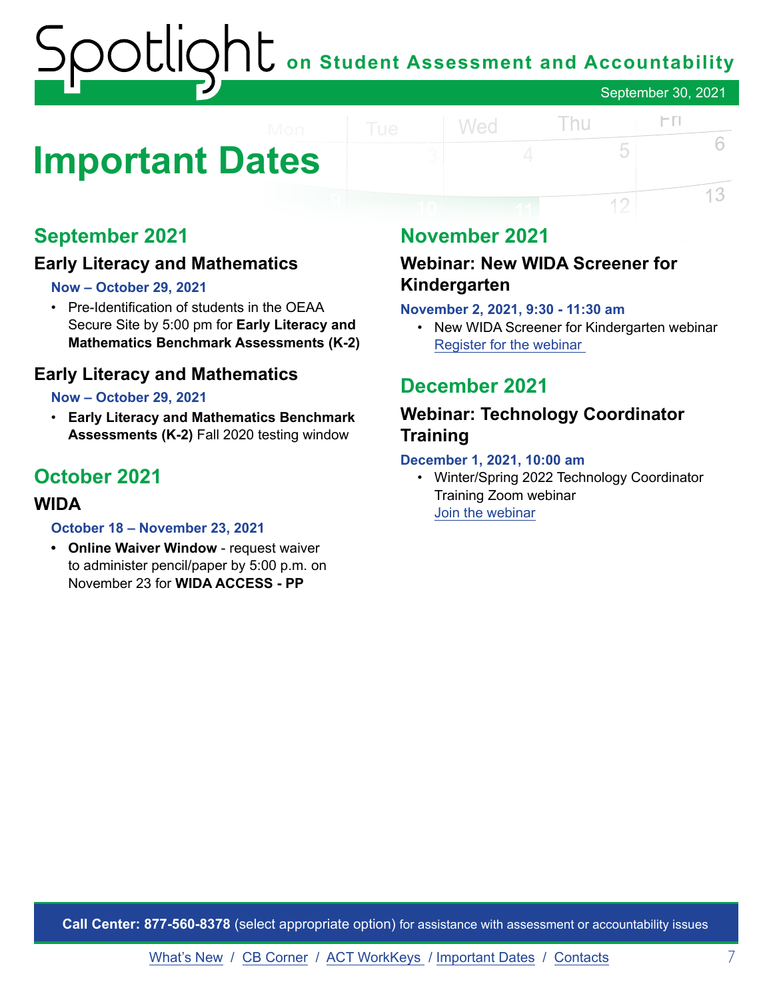# **on Student Assessment and Accountability** September 30, 2021

# <span id="page-6-0"></span>**Important Dates**

# **September 2021**

## **Early Literacy and Mathematics**

#### **Now – October 29, 2021**

• Pre-Identification of students in the OEAA Secure Site by 5:00 pm for **Early Literacy and Mathematics Benchmark Assessments (K-2)** 

#### **Early Literacy and Mathematics**

#### **Now – October 29, 2021**

• **Early Literacy and Mathematics Benchmark Assessments (K-2)** Fall 2020 testing window

# **October 2021**

#### **WIDA**

#### **October 18 – November 23, 2021**

**• Online Waiver Window** - request waiver to administer pencil/paper by 5:00 p.m. on November 23 for **WIDA ACCESS - PP**

# **November 2021**

Wed

### **Webinar: New WIDA Screener for Kindergarten**

#### **November 2, 2021, 9:30 - 11:30 am**

• New WIDA Screener for Kindergarten webinar Register for [the webinar](https://forms.gle/qkFZeRrch2ujira59)

Thu

5

12

 $\Gamma$ 

6

13

# **December 2021**

## **Webinar: Technology Coordinator Training**

#### **December 1, 2021, 10:00 am**

• Winter/Spring 2022 Technology Coordinator Training Zoom webinar [Join the webinar](https://datarecognitioncorp.zoom.us/j/84084055143)

**Call Center: 877-560-8378** (select appropriate option) for assistance with assessment or accountability issues